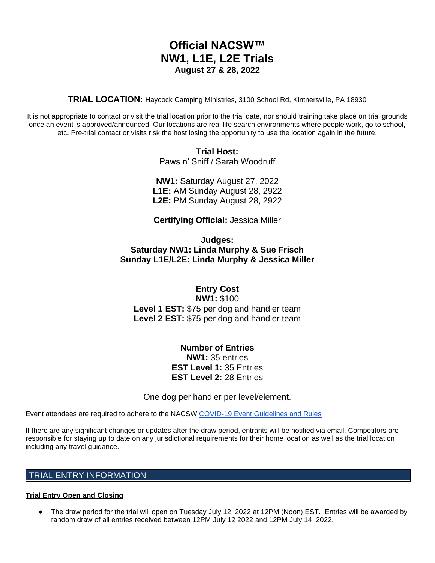# **Official NACSW™ NW1, L1E, L2E Trials August 27 & 28, 2022**

**TRIAL LOCATION:** Haycock Camping Ministries, 3100 School Rd, Kintnersville, PA 18930

It is not appropriate to contact or visit the trial location prior to the trial date, nor should training take place on trial grounds once an event is approved/announced. Our locations are real life search environments where people work, go to school, etc. Pre-trial contact or visits risk the host losing the opportunity to use the location again in the future.

> **Trial Host:** Paws n' Sniff / Sarah Woodruff

**NW1:** Saturday August 27, 2022 **L1E:** AM Sunday August 28, 2922 **L2E:** PM Sunday August 28, 2922

**Certifying Official:** Jessica Miller

**Judges: Saturday NW1: Linda Murphy & Sue Frisch Sunday L1E/L2E: Linda Murphy & Jessica Miller**

**Entry Cost NW1:** \$100 **Level 1 EST:** \$75 per dog and handler team **Level 2 EST:** \$75 per dog and handler team

> **Number of Entries NW1:** 35 entries **EST Level 1:** 35 Entries **EST Level 2:** 28 Entries

One dog per handler per level/element.

Event attendees are required to adhere to the NACSW [COVID-19 Event Guidelines and Rules](https://drive.google.com/open?id=1pMMICXeMDJV2iFxAFOuPAMXEBoRmaik0qzSE4tiZuSI)

If there are any significant changes or updates after the draw period, entrants will be notified via email. Competitors are responsible for staying up to date on any jurisdictional requirements for their home location as well as the trial location including any travel guidance.

# TRIAL ENTRY INFORMATION

# **Trial Entry Open and Closing**

● The draw period for the trial will open on Tuesday July 12, 2022 at 12PM (Noon) EST. Entries will be awarded by random draw of all entries received between 12PM July 12 2022 and 12PM July 14, 2022.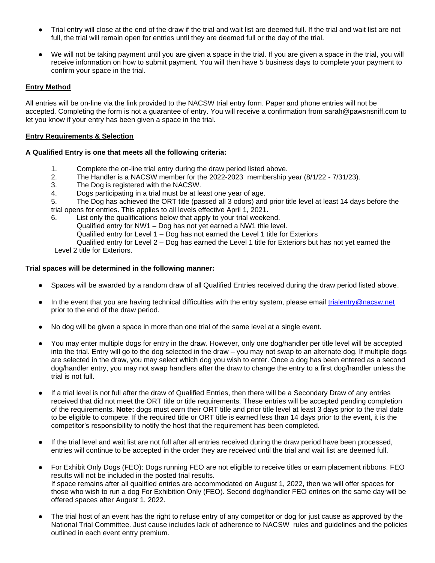- Trial entry will close at the end of the draw if the trial and wait list are deemed full. If the trial and wait list are not full, the trial will remain open for entries until they are deemed full or the day of the trial.
- We will not be taking payment until you are given a space in the trial. If you are given a space in the trial, you will receive information on how to submit payment. You will then have 5 business days to complete your payment to confirm your space in the trial.

# **Entry Method**

All entries will be on-line via the link provided to the NACSW trial entry form. Paper and phone entries will not be accepted. Completing the form is not a guarantee of entry. You will receive a confirmation from sarah@pawsnsniff.com to let you know if your entry has been given a space in the trial.

#### **Entry Requirements & Selection**

# **A Qualified Entry is one that meets all the following criteria:**

- 1. Complete the on-line trial entry during the draw period listed above.
- 2. The Handler is a NACSW member for the 2022-2023 membership year (8/1/22 7/31/23).
- 3. The Dog is registered with the NACSW.
- 4. Dogs participating in a trial must be at least one year of age.
- 5. The Dog has achieved the ORT title (passed all 3 odors) and prior title level at least 14 days before the trial opens for entries. This applies to all levels effective April 1, 2021.
- 6. List only the qualifications below that apply to your trial weekend.

Qualified entry for NW1 – Dog has not yet earned a NW1 title level.

Qualified entry for Level 1 – Dog has not earned the Level 1 title for Exteriors

Qualified entry for Level 2 – Dog has earned the Level 1 title for Exteriors but has not yet earned the Level 2 title for Exteriors.

#### **Trial spaces will be determined in the following manner:**

- Spaces will be awarded by a random draw of all Qualified Entries received during the draw period listed above.
- In the event that you are having technical difficulties with the entry system, please email [trialentry@nacsw.net](mailto:trialentry@nacsw.net) prior to the end of the draw period.
- No dog will be given a space in more than one trial of the same level at a single event.
- You may enter multiple dogs for entry in the draw. However, only one dog/handler per title level will be accepted into the trial. Entry will go to the dog selected in the draw – you may not swap to an alternate dog. If multiple dogs are selected in the draw, you may select which dog you wish to enter. Once a dog has been entered as a second dog/handler entry, you may not swap handlers after the draw to change the entry to a first dog/handler unless the trial is not full.
- If a trial level is not full after the draw of Qualified Entries, then there will be a Secondary Draw of any entries received that did not meet the ORT title or title requirements. These entries will be accepted pending completion of the requirements. **Note:** dogs must earn their ORT title and prior title level at least 3 days prior to the trial date to be eligible to compete. If the required title or ORT title is earned less than 14 days prior to the event, it is the competitor's responsibility to notify the host that the requirement has been completed.
- If the trial level and wait list are not full after all entries received during the draw period have been processed, entries will continue to be accepted in the order they are received until the trial and wait list are deemed full.
- For Exhibit Only Dogs (FEO): Dogs running FEO are not eligible to receive titles or earn placement ribbons. FEO results will not be included in the posted trial results. If space remains after all qualified entries are accommodated on August 1, 2022, then we will offer spaces for those who wish to run a dog For Exhibition Only (FEO). Second dog/handler FEO entries on the same day will be offered spaces after August 1, 2022.
- The trial host of an event has the right to refuse entry of any competitor or dog for just cause as approved by the National Trial Committee. Just cause includes lack of adherence to NACSW rules and guidelines and the policies outlined in each event entry premium.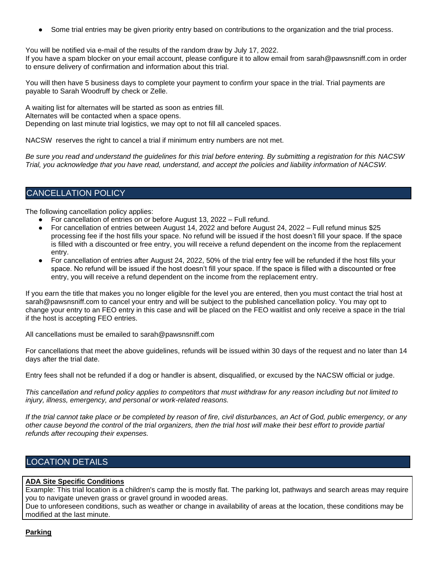Some trial entries may be given priority entry based on contributions to the organization and the trial process.

You will be notified via e-mail of the results of the random draw by July 17, 2022.

If you have a spam blocker on your email account, please configure it to allow email from sarah@pawsnsniff.com in order to ensure delivery of confirmation and information about this trial.

You will then have 5 business days to complete your payment to confirm your space in the trial. Trial payments are payable to Sarah Woodruff by check or Zelle.

A waiting list for alternates will be started as soon as entries fill. Alternates will be contacted when a space opens. Depending on last minute trial logistics, we may opt to not fill all canceled spaces.

NACSW reserves the right to cancel a trial if minimum entry numbers are not met.

*Be sure you read and understand the guidelines for this trial before entering. By submitting a registration for this NACSW Trial, you acknowledge that you have read, understand, and accept the policies and liability information of NACSW.*

# CANCELLATION POLICY

The following cancellation policy applies:

- For cancellation of entries on or before August 13, 2022 Full refund.
- For cancellation of entries between August 14, 2022 and before August 24, 2022 Full refund minus \$25 processing fee if the host fills your space. No refund will be issued if the host doesn't fill your space. If the space is filled with a discounted or free entry, you will receive a refund dependent on the income from the replacement entry.
- For cancellation of entries after August 24, 2022, 50% of the trial entry fee will be refunded if the host fills your space. No refund will be issued if the host doesn't fill your space. If the space is filled with a discounted or free entry, you will receive a refund dependent on the income from the replacement entry.

If you earn the title that makes you no longer eligible for the level you are entered, then you must contact the trial host at sarah@pawsnsniff.com to cancel your entry and will be subject to the published cancellation policy. You may opt to change your entry to an FEO entry in this case and will be placed on the FEO waitlist and only receive a space in the trial if the host is accepting FEO entries.

All cancellations must be emailed to sarah@pawsnsniff.com

For cancellations that meet the above guidelines, refunds will be issued within 30 days of the request and no later than 14 days after the trial date.

Entry fees shall not be refunded if a dog or handler is absent, disqualified, or excused by the NACSW official or judge.

*This cancellation and refund policy applies to competitors that must withdraw for any reason including but not limited to injury, illness, emergency, and personal or work-related reasons.*

*If the trial cannot take place or be completed by reason of fire, civil disturbances, an Act of God, public emergency, or any other cause beyond the control of the trial organizers, then the trial host will make their best effort to provide partial refunds after recouping their expenses.*

# LOCATION DETAILS

# **ADA Site Specific Conditions**

Example: This trial location is a children's camp the is mostly flat. The parking lot, pathways and search areas may require you to navigate uneven grass or gravel ground in wooded areas.

Due to unforeseen conditions, such as weather or change in availability of areas at the location, these conditions may be modified at the last minute.

#### **Parking**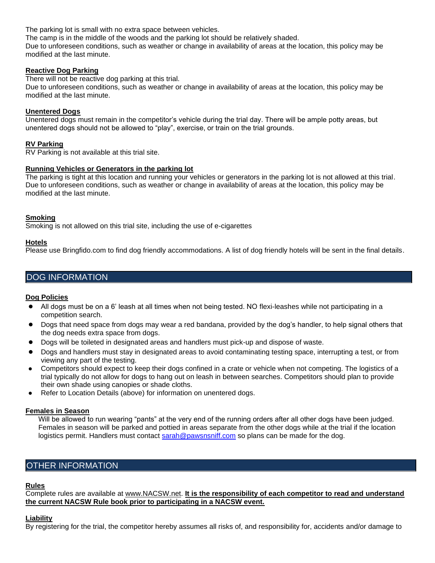The parking lot is small with no extra space between vehicles.

The camp is in the middle of the woods and the parking lot should be relatively shaded.

Due to unforeseen conditions, such as weather or change in availability of areas at the location, this policy may be modified at the last minute.

### **Reactive Dog Parking**

There will not be reactive dog parking at this trial.

Due to unforeseen conditions, such as weather or change in availability of areas at the location, this policy may be modified at the last minute.

### **Unentered Dogs**

Unentered dogs must remain in the competitor's vehicle during the trial day. There will be ample potty areas, but unentered dogs should not be allowed to "play", exercise, or train on the trial grounds.

# **RV Parking**

RV Parking is not available at this trial site.

#### **Running Vehicles or Generators in the parking lot**

The parking is tight at this location and running your vehicles or generators in the parking lot is not allowed at this trial. Due to unforeseen conditions, such as weather or change in availability of areas at the location, this policy may be modified at the last minute.

#### **Smoking**

Smoking is not allowed on this trial site, including the use of e-cigarettes

#### **Hotels**

Please use Bringfido.com to find dog friendly accommodations. A list of dog friendly hotels will be sent in the final details.

# DOG INFORMATION

# **Dog Policies**

- All dogs must be on a 6' leash at all times when not being tested. NO flexi-leashes while not participating in a competition search.
- Dogs that need space from dogs may wear a red bandana, provided by the dog's handler, to help signal others that the dog needs extra space from dogs.
- Dogs will be toileted in designated areas and handlers must pick-up and dispose of waste.
- Dogs and handlers must stay in designated areas to avoid contaminating testing space, interrupting a test, or from viewing any part of the testing.
- Competitors should expect to keep their dogs confined in a crate or vehicle when not competing. The logistics of a trial typically do not allow for dogs to hang out on leash in between searches. Competitors should plan to provide their own shade using canopies or shade cloths.
- Refer to Location Details (above) for information on unentered dogs.

#### **Females in Season**

Will be allowed to run wearing "pants" at the very end of the running orders after all other dogs have been judged. Females in season will be parked and pottied in areas separate from the other dogs while at the trial if the location logistics permit. Handlers must contact [sarah@pawsnsniff.com](mailto:sarah@pawsnsniff.com) so plans can be made for the dog.

# OTHER INFORMATION

#### **Rules**

Complete rules are available at [www.NACSW.net.](http://www.nacsw.net/) **It is the responsibility of each competitor to read and understand the current NACSW Rule book prior to participating in a NACSW event.** 

# **Liability**

By registering for the trial, the competitor hereby assumes all risks of, and responsibility for, accidents and/or damage to